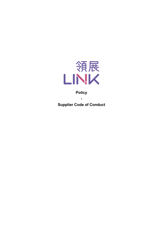

# **Policy**

**Supplier Code of Conduct**

**-**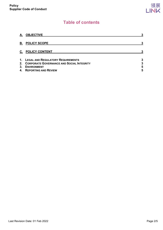# **Table of contents**

| А. | <b>OBJECTIVE</b>                             |   |
|----|----------------------------------------------|---|
| В. | <b>POLICY SCOPE</b>                          |   |
| C. | <b>POLICY CONTENT</b>                        |   |
|    | 1. LEGAL AND REGULATORY REQUIREMENTS         | 3 |
|    | 2. CORPORATE GOVERNANCE AND SOCIAL INTEGRITY | 3 |
| 3. | <b>ENVIRONMENT</b>                           | 5 |
|    | 4. REPORTING AND REVIEW                      | 5 |
|    |                                              |   |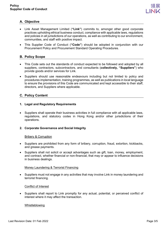

# <span id="page-2-0"></span>**A. Objective**

- Link Asset Management Limited (**"Link"**) commits to, amongst other good corporate practices upholding ethical business conduct, compliance with applicable laws, regulations and policies in all jurisdictions of our operations, as well as contributing to our environment, communities, and staff with positive impact.
- This Supplier Code of Conduct (**"Code"**) should be adopted in conjunction with our Procurement Policy and Procurement Standard Operating Procedures.

# <span id="page-2-1"></span>**B. Policy Scope**

- This Code sets out the standards of conduct expected to be followed and adopted by all suppliers, contractors, subcontractors, and consultants (**collectively, "Suppliers"**) who provide goods and/or services for Link.
- Suppliers should use reasonable endeavours including but not limited to policy and procedures implementation, training programmes, as well as publications in local language to ensure the provisions of this Code are communicated and kept accessible to their staff, directors, and Suppliers where applicable.

# <span id="page-2-2"></span>**C. Policy Content**

## <span id="page-2-3"></span>**1. Legal and Regulatory Requirements**

• Suppliers shall operate their business activities in full compliance with all applicable laws, regulations, and statutory codes in Hong Kong and/or other jurisdictions of their operations.

## <span id="page-2-4"></span>**2. Corporate Governance and Social Integrity**

#### Bribery & Corruption

- Suppliers are prohibited from any form of bribery, corruption, fraud, extortion, kickbacks, and grease payments.
- Suppliers shall not solicit or accept advantages such as gift, loan, money, employment, and contract, whether financial or non-financial, that may or appear to influence decisions in business dealings.

#### Money Laundering & Terrorist Financing

• Suppliers must not engage in any activities that may involve Link in money laundering and terrorist financing.

#### Conflict of Interest

Suppliers shall report to Link promptly for any actual, potential, or perceived conflict of interest where it may affect the transaction.

#### Whistleblowing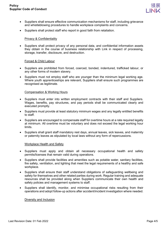

- Suppliers shall ensure effective communication mechanisms for staff, including grievance and whistleblowing procedures to handle workplace complaints and concerns.
- Suppliers shall protect staff who report in good faith from retaliation.

#### Privacy & Confidentiality

• Suppliers shall protect privacy of any personal data, and confidential information assets they obtain in the course of business relationship with Link in respect of processing, storage, transfer, disclosure, and destruction.

#### Forced & Child Labour

- Suppliers are prohibited from forced, coerced, bonded, indentured, trafficked labour, or any other forms of modern slavery.
- Suppliers must not employ staff who are younger than the minimum legal working age. Where youth apprenticeships are relevant. Suppliers shall ensure such programmes are recognised as legitimate.

#### Compensation & Working Hours

- Suppliers must enter into written employment contracts with their staff and Suppliers. Wages, benefits, pay structures, and pay periods shall be communicated clearly and executed promptly.
- Suppliers must provide at least statutory minimum wages and any legally entitled benefits to staff.
- Suppliers are encouraged to compensate staff for overtime hours at a rate required legally at minimum. All overtime must be voluntary and does not exceed the legal working hour limits.
- Suppliers shall grant staff mandatory rest days, annual leaves, sick leaves, and maternity or paternity leaves as stipulated by local laws without any form of repercussions.

#### Workplace Health and Safety

- Suppliers must apply and obtain all necessary occupational health and safety permits/licenses that remain valid during operations.
- Suppliers shall provide facilities and amenities such as potable water, sanitary facilities, fire safety, ventilation, and lighting that meet the legal requirements of a healthy and safe workplace.
- Suppliers shall ensure their staff understand obligations of safeguarding wellbeing and safety for themselves and other related parties during work. Regular training and adequate resources shall be provided along when Suppliers communicate their own health and safety policies and management systems to staff.
- Suppliers shall identify, monitor, and minimise occupational risks resulting from their operations and adopt follow-up actions after accident/incident investigation where needed.

#### Diversity and Inclusion